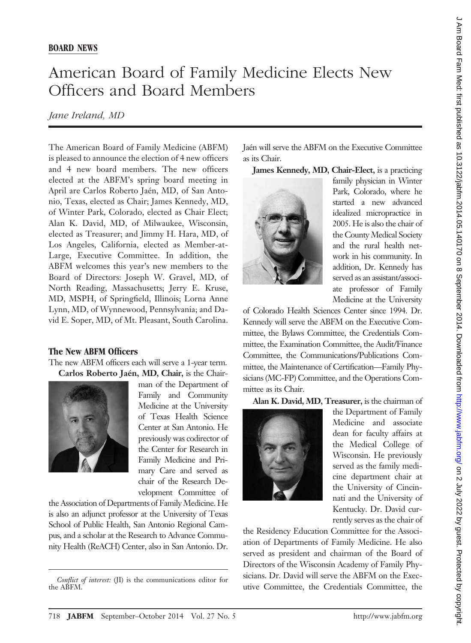## American Board of Family Medicine Elects New Officers and Board Members

## *Jane Ireland, MD*

The American Board of Family Medicine (ABFM) is pleased to announce the election of 4 new officers and 4 new board members. The new officers elected at the ABFM's spring board meeting in April are Carlos Roberto Jaén, MD, of San Antonio, Texas, elected as Chair; James Kennedy, MD, of Winter Park, Colorado, elected as Chair Elect; Alan K. David, MD, of Milwaukee, Wisconsin, elected as Treasurer; and Jimmy H. Hara, MD, of Los Angeles, California, elected as Member-at-Large, Executive Committee. In addition, the ABFM welcomes this year's new members to the Board of Directors: Joseph W. Gravel, MD, of North Reading, Massachusetts; Jerry E. Kruse, MD, MSPH, of Springfield, Illinois; Lorna Anne Lynn, MD, of Wynnewood, Pennsylvania; and David E. Soper, MD, of Mt. Pleasant, South Carolina.

## **The New ABFM Officers**

The new ABFM officers each will serve a 1-year term. Carlos Roberto Jaén, MD, Chair, is the Chair-



man of the Department of Family and Community Medicine at the University of Texas Health Science Center at San Antonio. He previously was codirector of the Center for Research in Family Medicine and Primary Care and served as chair of the Research Development Committee of

the Association of Departments of Family Medicine. He is also an adjunct professor at the University of Texas School of Public Health, San Antonio Regional Campus, and a scholar at the Research to Advance Community Health (ReACH) Center, also in San Antonio. Dr.

Jaén will serve the ABFM on the Executive Committee as its Chair.

**James Kennedy, MD, Chair-Elect,** is a practicing



family physician in Winter Park, Colorado, where he started a new advanced idealized micropractice in 2005. He is also the chair of the County Medical Society and the rural health network in his community. In addition, Dr. Kennedy has served as an assistant/associate professor of Family Medicine at the University

of Colorado Health Sciences Center since 1994. Dr. Kennedy will serve the ABFM on the Executive Committee, the Bylaws Committee, the Credentials Committee, the Examination Committee, the Audit/Finance Committee, the Communications/Publications Committee, the Maintenance of Certification—Family Physicians (MC-FP) Committee, and the Operations Committee as its Chair.

**Alan K. David, MD, Treasurer,** is the chairman of



the Department of Family Medicine and associate dean for faculty affairs at the Medical College of Wisconsin. He previously served as the family medicine department chair at the University of Cincinnati and the University of Kentucky. Dr. David currently serves as the chair of

the Residency Education Committee for the Association of Departments of Family Medicine. He also served as president and chairman of the Board of Directors of the Wisconsin Academy of Family Physicians. Dr. David will serve the ABFM on the Exec-Conflict of interest: (JI) is the communications editor for<br>exacts. D. David win serve the *Curemany* on the Exec-<br>example, the *Credentials* Committee, the

the ABFM.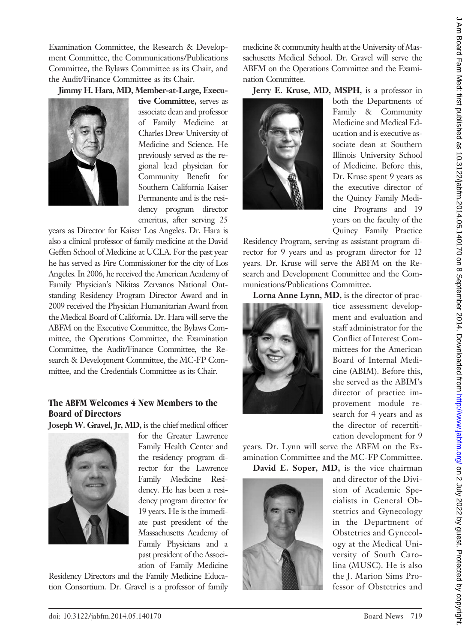Examination Committee, the Research & Development Committee, the Communications/Publications Committee, the Bylaws Committee as its Chair, and the Audit/Finance Committee as its Chair.

**Jimmy H. Hara, MD, Member-at-Large, Execu-**



**tive Committee,** serves as associate dean and professor of Family Medicine at Charles Drew University of Medicine and Science. He previously served as the regional lead physician for Community Benefit for Southern California Kaiser Permanente and is the residency program director emeritus, after serving 25

years as Director for Kaiser Los Angeles. Dr. Hara is also a clinical professor of family medicine at the David Geffen School of Medicine at UCLA. For the past year he has served as Fire Commissioner for the city of Los Angeles. In 2006, he received the American Academy of Family Physician's Nikitas Zervanos National Outstanding Residency Program Director Award and in 2009 received the Physician Humanitarian Award from the Medical Board of California. Dr. Hara will serve the ABFM on the Executive Committee, the Bylaws Committee, the Operations Committee, the Examination Committee, the Audit/Finance Committee, the Research & Development Committee, the MC-FP Committee, and the Credentials Committee as its Chair.

## **The ABFM Welcomes 4 New Members to the Board of Directors**

**Joseph W. Gravel, Jr, MD,** is the chief medical officer



for the Greater Lawrence Family Health Center and the residency program director for the Lawrence Family Medicine Residency. He has been a residency program director for 19 years. He is the immediate past president of the Massachusetts Academy of Family Physicians and a past president of the Association of Family Medicine

Residency Directors and the Family Medicine Education Consortium. Dr. Gravel is a professor of family medicine & community health at the University of Massachusetts Medical School. Dr. Gravel will serve the ABFM on the Operations Committee and the Examination Committee.

**Jerry E. Kruse, MD, MSPH,** is a professor in



both the Departments of Family & Community Medicine and Medical Education and is executive associate dean at Southern Illinois University School of Medicine. Before this, Dr. Kruse spent 9 years as the executive director of the Quincy Family Medicine Programs and 19 years on the faculty of the Quincy Family Practice

Residency Program, serving as assistant program director for 9 years and as program director for 12 years. Dr. Kruse will serve the ABFM on the Research and Development Committee and the Communications/Publications Committee.

**Lorna Anne Lynn, MD,** is the director of prac-



tice assessment development and evaluation and staff administrator for the Conflict of Interest Committees for the American Board of Internal Medicine (ABIM). Before this, she served as the ABIM's director of practice improvement module research for 4 years and as the director of recertification development for 9

years. Dr. Lynn will serve the ABFM on the Examination Committee and the MC-FP Committee.

**David E. Soper, MD,** is the vice chairman



and director of the Division of Academic Specialists in General Obstetrics and Gynecology in the Department of Obstetrics and Gynecology at the Medical University of South Carolina (MUSC). He is also the J. Marion Sims Professor of Obstetrics and